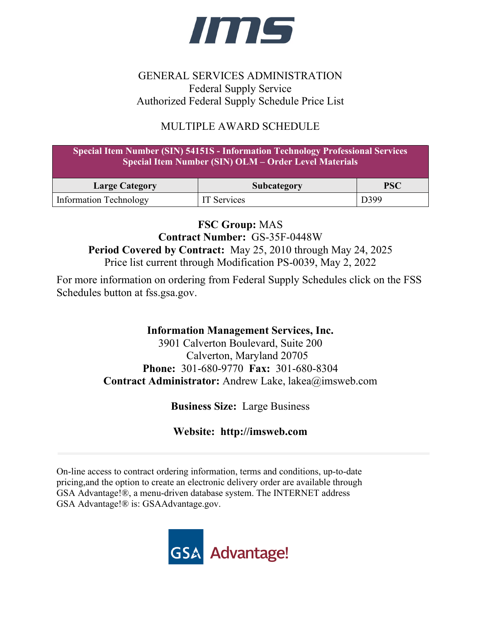

# GENERAL SERVICES ADMINISTRATION Federal Supply Service Authorized Federal Supply Schedule Price List

# MULTIPLE AWARD SCHEDULE

| <b>Special Item Number (SIN) 54151S - Information Technology Professional Services</b><br><b>Special Item Number (SIN) OLM - Order Level Materials</b> |                    |            |  |  |
|--------------------------------------------------------------------------------------------------------------------------------------------------------|--------------------|------------|--|--|
| <b>Large Category</b>                                                                                                                                  | Subcategory        | <b>PSC</b> |  |  |
| <b>Information Technology</b>                                                                                                                          | <b>IT</b> Services | D399       |  |  |

**FSC Group:** MAS **Contract Number:** GS-35F-0448W **Period Covered by Contract:** May 25, 2010 through May 24, 2025 Price list current through Modification PS-0039, May 2, 2022

For more information on ordering from Federal Supply Schedules click on the FSS Schedules button at fss.gsa.gov.

# **Information Management Services, Inc.**

3901 Calverton Boulevard, Suite 200 Calverton, Maryland 20705 **Phone:** 301-680-9770 **Fax:** 301-680-8304 **Contract Administrator:** Andrew Lake, lakea@imsweb.com

**Business Size:** Large Business

**Website: http://imsweb.com**

On-line access to contract ordering information, terms and conditions, up-to-date pricing,and the option to create an electronic delivery order are available through GSA Advantage!®, a menu-driven database system. The INTERNET address GSA Advantage!® is: GSAAdvantage.gov.

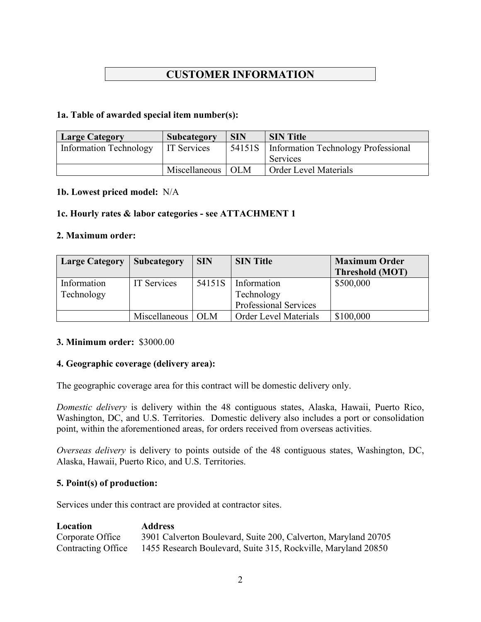# **CUSTOMER INFORMATION**

#### **1a. Table of awarded special item number(s):**

| <b>Large Category</b>         | Subcategory   | <b>SIN</b> | <b>SIN Title</b>                           |
|-------------------------------|---------------|------------|--------------------------------------------|
| <b>Information Technology</b> | IT Services   | 54151S     | <b>Information Technology Professional</b> |
|                               |               |            | Services                                   |
|                               | Miscellaneous | <b>OLM</b> | <b>Order Level Materials</b>               |

#### **1b. Lowest priced model:** N/A

## **1c. Hourly rates & labor categories - see ATTACHMENT 1**

#### **2. Maximum order:**

| <b>Large Category</b>     | <b>Subcategory</b> | <b>SIN</b> | <b>SIN Title</b>                                          | <b>Maximum Order</b><br><b>Threshold (MOT)</b> |
|---------------------------|--------------------|------------|-----------------------------------------------------------|------------------------------------------------|
| Information<br>Technology | <b>IT Services</b> | 54151S     | Information<br>Technology<br><b>Professional Services</b> | \$500,000                                      |
|                           | Miscellaneous      | <b>OLM</b> | <b>Order Level Materials</b>                              | \$100,000                                      |

#### **3. Minimum order:** \$3000.00

#### **4. Geographic coverage (delivery area):**

The geographic coverage area for this contract will be domestic delivery only.

*Domestic delivery* is delivery within the 48 contiguous states, Alaska, Hawaii, Puerto Rico, Washington, DC, and U.S. Territories. Domestic delivery also includes a port or consolidation point, within the aforementioned areas, for orders received from overseas activities.

*Overseas delivery* is delivery to points outside of the 48 contiguous states, Washington, DC, Alaska, Hawaii, Puerto Rico, and U.S. Territories.

#### **5. Point(s) of production:**

Services under this contract are provided at contractor sites.

| Location           | <b>Address</b>                                                 |
|--------------------|----------------------------------------------------------------|
| Corporate Office   | 3901 Calverton Boulevard, Suite 200, Calverton, Maryland 20705 |
| Contracting Office | 1455 Research Boulevard, Suite 315, Rockville, Maryland 20850  |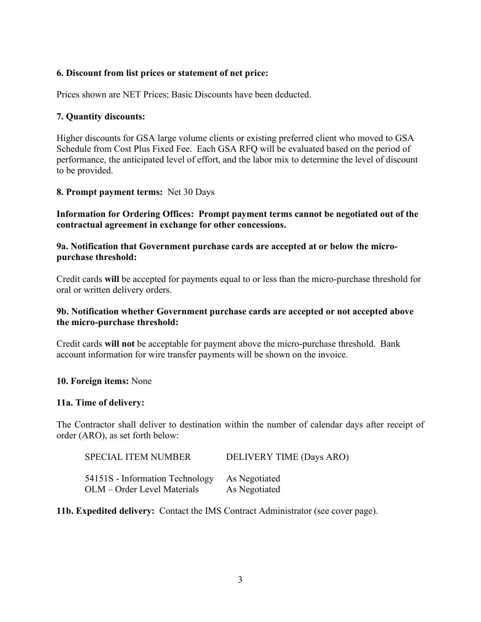#### **6. Discount from list prices or statement of net price:**

Prices shown are NET Prices; Basic Discounts have been deducted.

#### **7. Quantity discounts:**

Higher discounts for GSA large volume clients or existing preferred client who moved to GSA Schedule from Cost Plus Fixed Fee. Each GSA RFQ will be evaluated based on the period of performance, the anticipated level of effort, and the labor mix to determine the level of discount to be provided.

#### **8. Prompt payment terms:** Net 30 Days

**Information for Ordering Offices: Prompt payment terms cannot be negotiated out of the contractual agreement in exchange for other concessions.**

#### **9a. Notification that Government purchase cards are accepted at or below the micropurchase threshold:**

Credit cards **will** be accepted for payments equal to or less than the micro-purchase threshold for oral or written delivery orders.

#### **9b. Notification whether Government purchase cards are accepted or not accepted above the micro-purchase threshold:**

Credit cards **will not** be acceptable for payment above the micro-purchase threshold. Bank account information for wire transfer payments will be shown on the invoice.

#### **10. Foreign items:** None

#### **11a. Time of delivery:**

The Contractor shall deliver to destination within the number of calendar days after receipt of order (ARO), as set forth below:

| <b>SPECIAL ITEM NUMBER</b>      | DELIVERY TIME (Days ARO) |
|---------------------------------|--------------------------|
| 54151S - Information Technology | As Negotiated            |
| OLM – Order Level Materials     | As Negotiated            |

**11b. Expedited delivery:** Contact the IMS Contract Administrator (see cover page).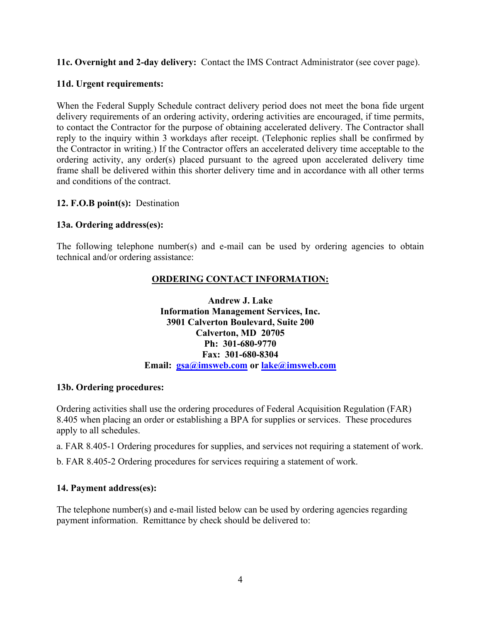**11c. Overnight and 2-day delivery:** Contact the IMS Contract Administrator (see cover page).

# **11d. Urgent requirements:**

When the Federal Supply Schedule contract delivery period does not meet the bona fide urgent delivery requirements of an ordering activity, ordering activities are encouraged, if time permits, to contact the Contractor for the purpose of obtaining accelerated delivery. The Contractor shall reply to the inquiry within 3 workdays after receipt. (Telephonic replies shall be confirmed by the Contractor in writing.) If the Contractor offers an accelerated delivery time acceptable to the ordering activity, any order(s) placed pursuant to the agreed upon accelerated delivery time frame shall be delivered within this shorter delivery time and in accordance with all other terms and conditions of the contract.

# **12. F.O.B point(s):** Destination

# **13a. Ordering address(es):**

The following telephone number(s) and e-mail can be used by ordering agencies to obtain technical and/or ordering assistance:

# **ORDERING CONTACT INFORMATION:**

#### **Andrew J. Lake Information Management Services, Inc. 3901 Calverton Boulevard, Suite 200 Calverton, MD 20705 Ph: 301-680-9770 Fax: 301-680-8304 Email: [gsa@imsweb.com](mailto:gsa@imsweb.com) or [lake@imsweb.com](mailto:lake@imsweb.com)**

## **13b. Ordering procedures:**

Ordering activities shall use the ordering procedures of Federal Acquisition Regulation (FAR) 8.405 when placing an order or establishing a BPA for supplies or services. These procedures apply to all schedules.

a. FAR 8.405-1 Ordering procedures for supplies, and services not requiring a statement of work.

b. FAR 8.405-2 Ordering procedures for services requiring a statement of work.

## **14. Payment address(es):**

The telephone number(s) and e-mail listed below can be used by ordering agencies regarding payment information. Remittance by check should be delivered to: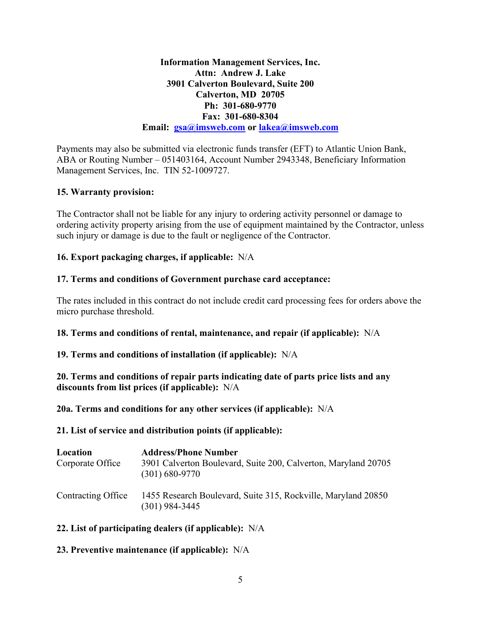**Information Management Services, Inc. Attn: Andrew J. Lake 3901 Calverton Boulevard, Suite 200 Calverton, MD 20705 Ph: 301-680-9770 Fax: 301-680-8304 Email: [gsa@imsweb.com](mailto:gsa@imsweb.com) or [lakea@imsweb.com](mailto:lakea@imsweb.com)**

Payments may also be submitted via electronic funds transfer (EFT) to Atlantic Union Bank, ABA or Routing Number – 051403164, Account Number 2943348, Beneficiary Information Management Services, Inc. TIN 52-1009727.

## **15. Warranty provision:**

The Contractor shall not be liable for any injury to ordering activity personnel or damage to ordering activity property arising from the use of equipment maintained by the Contractor, unless such injury or damage is due to the fault or negligence of the Contractor.

## **16. Export packaging charges, if applicable:** N/A

# **17. Terms and conditions of Government purchase card acceptance:**

The rates included in this contract do not include credit card processing fees for orders above the micro purchase threshold.

## **18. Terms and conditions of rental, maintenance, and repair (if applicable):** N/A

## **19. Terms and conditions of installation (if applicable):** N/A

**20. Terms and conditions of repair parts indicating date of parts price lists and any discounts from list prices (if applicable):** N/A

**20a. Terms and conditions for any other services (if applicable):** N/A

#### **21. List of service and distribution points (if applicable):**

| Location<br>Corporate Office | <b>Address/Phone Number</b><br>3901 Calverton Boulevard, Suite 200, Calverton, Maryland 20705<br>(301) 680-9770 |
|------------------------------|-----------------------------------------------------------------------------------------------------------------|
| Contracting Office           | 1455 Research Boulevard, Suite 315, Rockville, Maryland 20850<br>(301) 984-3445                                 |

## **22. List of participating dealers (if applicable):** N/A

## **23. Preventive maintenance (if applicable):** N/A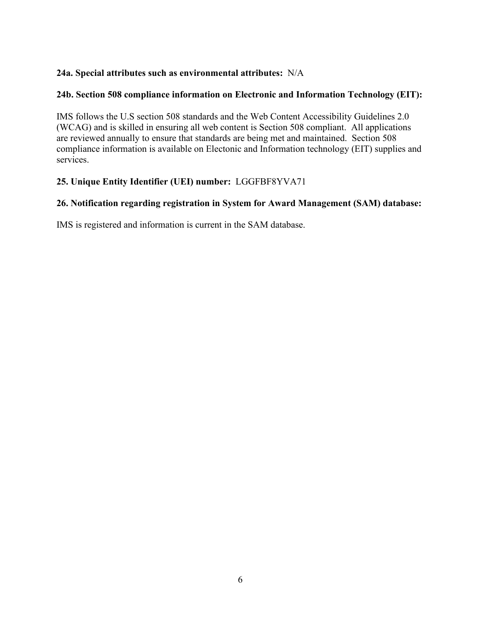# **24a. Special attributes such as environmental attributes:** N/A

# **24b. Section 508 compliance information on Electronic and Information Technology (EIT):**

IMS follows the U.S section 508 standards and the Web Content Accessibility Guidelines 2.0 (WCAG) and is skilled in ensuring all web content is Section 508 compliant. All applications are reviewed annually to ensure that standards are being met and maintained. Section 508 compliance information is available on Electonic and Information technology (EIT) supplies and services.

# **25. Unique Entity Identifier (UEI) number:** LGGFBF8YVA71

## **26. Notification regarding registration in System for Award Management (SAM) database:**

IMS is registered and information is current in the SAM database.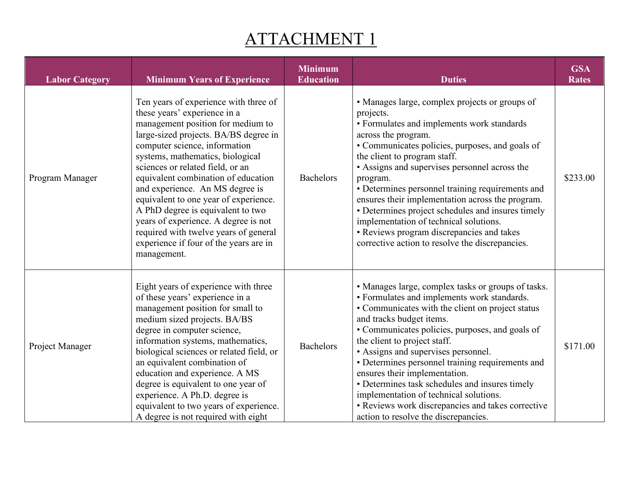# ATTACHMENT 1

| <b>Labor Category</b> | <b>Minimum Years of Experience</b>                                                                                                                                                                                                                                                                                                                                                                                                                                                                                                                             | <b>Minimum</b><br><b>Education</b> | <b>Duties</b>                                                                                                                                                                                                                                                                                                                                                                                                                                                                                                                                                                             | <b>GSA</b><br><b>Rates</b> |
|-----------------------|----------------------------------------------------------------------------------------------------------------------------------------------------------------------------------------------------------------------------------------------------------------------------------------------------------------------------------------------------------------------------------------------------------------------------------------------------------------------------------------------------------------------------------------------------------------|------------------------------------|-------------------------------------------------------------------------------------------------------------------------------------------------------------------------------------------------------------------------------------------------------------------------------------------------------------------------------------------------------------------------------------------------------------------------------------------------------------------------------------------------------------------------------------------------------------------------------------------|----------------------------|
| Program Manager       | Ten years of experience with three of<br>these years' experience in a<br>management position for medium to<br>large-sized projects. BA/BS degree in<br>computer science, information<br>systems, mathematics, biological<br>sciences or related field, or an<br>equivalent combination of education<br>and experience. An MS degree is<br>equivalent to one year of experience.<br>A PhD degree is equivalent to two<br>years of experience. A degree is not<br>required with twelve years of general<br>experience if four of the years are in<br>management. | <b>Bachelors</b>                   | • Manages large, complex projects or groups of<br>projects.<br>• Formulates and implements work standards<br>across the program.<br>• Communicates policies, purposes, and goals of<br>the client to program staff.<br>• Assigns and supervises personnel across the<br>program.<br>• Determines personnel training requirements and<br>ensures their implementation across the program.<br>• Determines project schedules and insures timely<br>implementation of technical solutions.<br>• Reviews program discrepancies and takes<br>corrective action to resolve the discrepancies.   | \$233.00                   |
| Project Manager       | Eight years of experience with three<br>of these years' experience in a<br>management position for small to<br>medium sized projects. BA/BS<br>degree in computer science,<br>information systems, mathematics,<br>biological sciences or related field, or<br>an equivalent combination of<br>education and experience. A MS<br>degree is equivalent to one year of<br>experience. A Ph.D. degree is<br>equivalent to two years of experience.<br>A degree is not required with eight                                                                         | <b>Bachelors</b>                   | • Manages large, complex tasks or groups of tasks.<br>• Formulates and implements work standards.<br>• Communicates with the client on project status<br>and tracks budget items.<br>• Communicates policies, purposes, and goals of<br>the client to project staff.<br>• Assigns and supervises personnel.<br>• Determines personnel training requirements and<br>ensures their implementation.<br>• Determines task schedules and insures timely<br>implementation of technical solutions.<br>• Reviews work discrepancies and takes corrective<br>action to resolve the discrepancies. | \$171.00                   |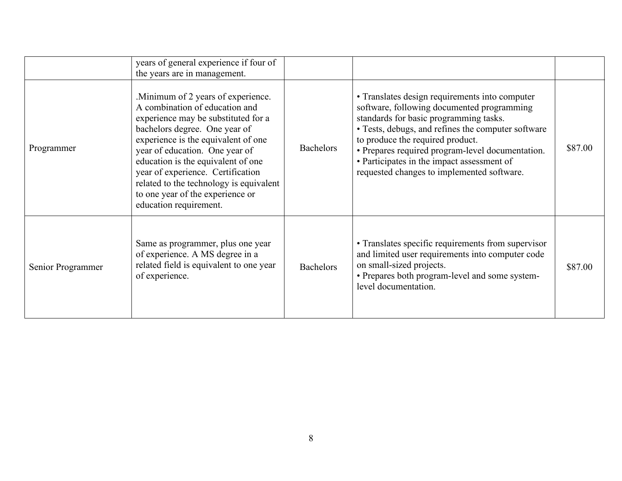|                   | years of general experience if four of<br>the years are in management.                                                                                                                                                                                                                                                                                                                                     |                  |                                                                                                                                                                                                                                                                                                                                                                                  |         |
|-------------------|------------------------------------------------------------------------------------------------------------------------------------------------------------------------------------------------------------------------------------------------------------------------------------------------------------------------------------------------------------------------------------------------------------|------------------|----------------------------------------------------------------------------------------------------------------------------------------------------------------------------------------------------------------------------------------------------------------------------------------------------------------------------------------------------------------------------------|---------|
| Programmer        | . Minimum of 2 years of experience.<br>A combination of education and<br>experience may be substituted for a<br>bachelors degree. One year of<br>experience is the equivalent of one<br>year of education. One year of<br>education is the equivalent of one<br>year of experience. Certification<br>related to the technology is equivalent<br>to one year of the experience or<br>education requirement. | <b>Bachelors</b> | • Translates design requirements into computer<br>software, following documented programming<br>standards for basic programming tasks.<br>• Tests, debugs, and refines the computer software<br>to produce the required product.<br>• Prepares required program-level documentation.<br>• Participates in the impact assessment of<br>requested changes to implemented software. | \$87.00 |
| Senior Programmer | Same as programmer, plus one year<br>of experience. A MS degree in a<br>related field is equivalent to one year<br>of experience.                                                                                                                                                                                                                                                                          | <b>Bachelors</b> | • Translates specific requirements from supervisor<br>and limited user requirements into computer code<br>on small-sized projects.<br>• Prepares both program-level and some system-<br>level documentation.                                                                                                                                                                     | \$87.00 |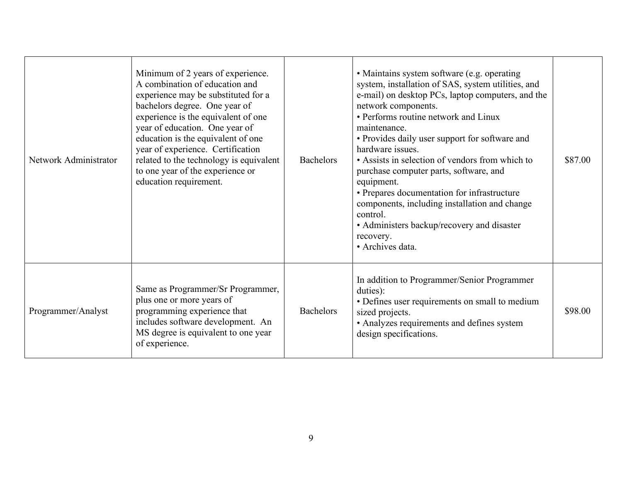| Network Administrator | Minimum of 2 years of experience.<br>A combination of education and<br>experience may be substituted for a<br>bachelors degree. One year of<br>experience is the equivalent of one<br>year of education. One year of<br>education is the equivalent of one<br>year of experience. Certification<br>related to the technology is equivalent<br>to one year of the experience or<br>education requirement. | <b>Bachelors</b> | • Maintains system software (e.g. operating<br>system, installation of SAS, system utilities, and<br>e-mail) on desktop PCs, laptop computers, and the<br>network components.<br>• Performs routine network and Linux<br>maintenance.<br>• Provides daily user support for software and<br>hardware issues.<br>• Assists in selection of vendors from which to<br>purchase computer parts, software, and<br>equipment.<br>• Prepares documentation for infrastructure<br>components, including installation and change<br>control.<br>• Administers backup/recovery and disaster<br>recovery.<br>• Archives data. | \$87.00 |
|-----------------------|----------------------------------------------------------------------------------------------------------------------------------------------------------------------------------------------------------------------------------------------------------------------------------------------------------------------------------------------------------------------------------------------------------|------------------|-------------------------------------------------------------------------------------------------------------------------------------------------------------------------------------------------------------------------------------------------------------------------------------------------------------------------------------------------------------------------------------------------------------------------------------------------------------------------------------------------------------------------------------------------------------------------------------------------------------------|---------|
| Programmer/Analyst    | Same as Programmer/Sr Programmer,<br>plus one or more years of<br>programming experience that<br>includes software development. An<br>MS degree is equivalent to one year<br>of experience.                                                                                                                                                                                                              | <b>Bachelors</b> | In addition to Programmer/Senior Programmer<br>duties):<br>• Defines user requirements on small to medium<br>sized projects.<br>• Analyzes requirements and defines system<br>design specifications.                                                                                                                                                                                                                                                                                                                                                                                                              | \$98.00 |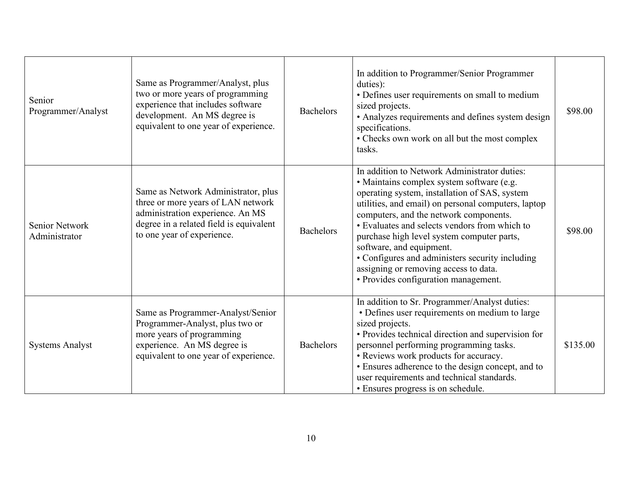| Senior<br>Programmer/Analyst           | Same as Programmer/Analyst, plus<br>two or more years of programming<br>experience that includes software<br>development. An MS degree is<br>equivalent to one year of experience.     | <b>Bachelors</b> | In addition to Programmer/Senior Programmer<br>duties):<br>• Defines user requirements on small to medium<br>sized projects.<br>• Analyzes requirements and defines system design<br>specifications.<br>• Checks own work on all but the most complex<br>tasks.                                                                                                                                                                                                                                            | \$98.00  |
|----------------------------------------|----------------------------------------------------------------------------------------------------------------------------------------------------------------------------------------|------------------|------------------------------------------------------------------------------------------------------------------------------------------------------------------------------------------------------------------------------------------------------------------------------------------------------------------------------------------------------------------------------------------------------------------------------------------------------------------------------------------------------------|----------|
| <b>Senior Network</b><br>Administrator | Same as Network Administrator, plus<br>three or more years of LAN network<br>administration experience. An MS<br>degree in a related field is equivalent<br>to one year of experience. | <b>Bachelors</b> | In addition to Network Administrator duties:<br>· Maintains complex system software (e.g.<br>operating system, installation of SAS, system<br>utilities, and email) on personal computers, laptop<br>computers, and the network components.<br>• Evaluates and selects vendors from which to<br>purchase high level system computer parts,<br>software, and equipment.<br>• Configures and administers security including<br>assigning or removing access to data.<br>• Provides configuration management. | \$98.00  |
| <b>Systems Analyst</b>                 | Same as Programmer-Analyst/Senior<br>Programmer-Analyst, plus two or<br>more years of programming<br>experience. An MS degree is<br>equivalent to one year of experience.              | <b>Bachelors</b> | In addition to Sr. Programmer/Analyst duties:<br>• Defines user requirements on medium to large<br>sized projects.<br>• Provides technical direction and supervision for<br>personnel performing programming tasks.<br>• Reviews work products for accuracy.<br>• Ensures adherence to the design concept, and to<br>user requirements and technical standards.<br>• Ensures progress is on schedule.                                                                                                      | \$135.00 |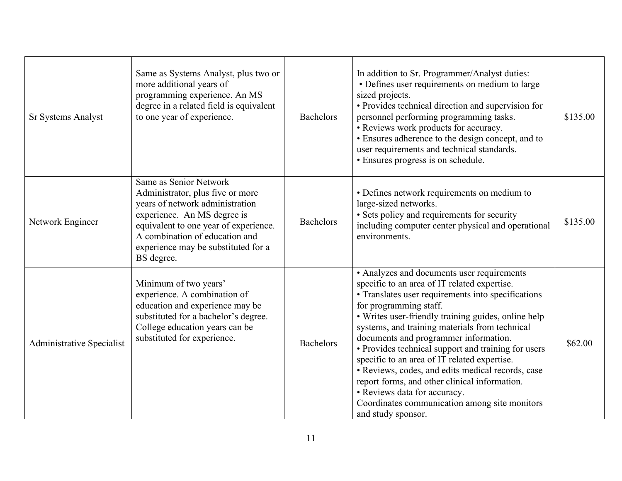| <b>Sr Systems Analyst</b>        | Same as Systems Analyst, plus two or<br>more additional years of<br>programming experience. An MS<br>degree in a related field is equivalent<br>to one year of experience.                                                                                   | <b>Bachelors</b> | In addition to Sr. Programmer/Analyst duties:<br>• Defines user requirements on medium to large<br>sized projects.<br>• Provides technical direction and supervision for<br>personnel performing programming tasks.<br>• Reviews work products for accuracy.<br>· Ensures adherence to the design concept, and to<br>user requirements and technical standards.<br>• Ensures progress is on schedule.                                                                                                                                                                                                                                            | \$135.00 |
|----------------------------------|--------------------------------------------------------------------------------------------------------------------------------------------------------------------------------------------------------------------------------------------------------------|------------------|--------------------------------------------------------------------------------------------------------------------------------------------------------------------------------------------------------------------------------------------------------------------------------------------------------------------------------------------------------------------------------------------------------------------------------------------------------------------------------------------------------------------------------------------------------------------------------------------------------------------------------------------------|----------|
| Network Engineer                 | Same as Senior Network<br>Administrator, plus five or more<br>years of network administration<br>experience. An MS degree is<br>equivalent to one year of experience.<br>A combination of education and<br>experience may be substituted for a<br>BS degree. | <b>Bachelors</b> | • Defines network requirements on medium to<br>large-sized networks.<br>· Sets policy and requirements for security<br>including computer center physical and operational<br>environments.                                                                                                                                                                                                                                                                                                                                                                                                                                                       | \$135.00 |
| <b>Administrative Specialist</b> | Minimum of two years'<br>experience. A combination of<br>education and experience may be<br>substituted for a bachelor's degree.<br>College education years can be<br>substituted for experience.                                                            | <b>Bachelors</b> | • Analyzes and documents user requirements<br>specific to an area of IT related expertise.<br>• Translates user requirements into specifications<br>for programming staff.<br>• Writes user-friendly training guides, online help<br>systems, and training materials from technical<br>documents and programmer information.<br>• Provides technical support and training for users<br>specific to an area of IT related expertise.<br>· Reviews, codes, and edits medical records, case<br>report forms, and other clinical information.<br>· Reviews data for accuracy.<br>Coordinates communication among site monitors<br>and study sponsor. | \$62.00  |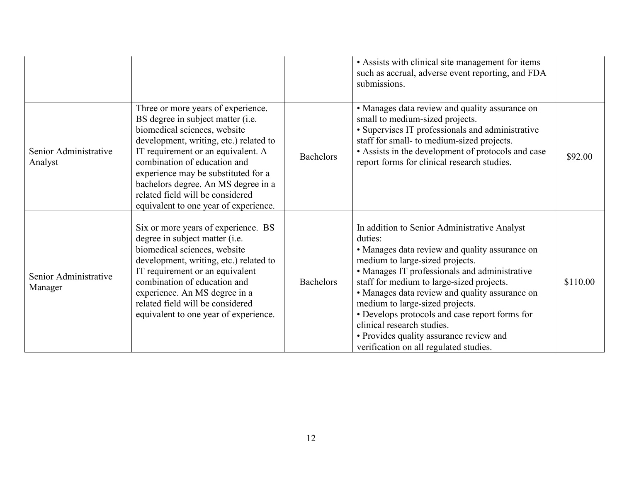|                                  |                                                                                                                                                                                                                                                                                                                                                                                    |                  | • Assists with clinical site management for items<br>such as accrual, adverse event reporting, and FDA<br>submissions.                                                                                                                                                                                                                                                                                                                                                                               |          |
|----------------------------------|------------------------------------------------------------------------------------------------------------------------------------------------------------------------------------------------------------------------------------------------------------------------------------------------------------------------------------------------------------------------------------|------------------|------------------------------------------------------------------------------------------------------------------------------------------------------------------------------------------------------------------------------------------------------------------------------------------------------------------------------------------------------------------------------------------------------------------------------------------------------------------------------------------------------|----------|
| Senior Administrative<br>Analyst | Three or more years of experience.<br>BS degree in subject matter (i.e.<br>biomedical sciences, website<br>development, writing, etc.) related to<br>IT requirement or an equivalent. A<br>combination of education and<br>experience may be substituted for a<br>bachelors degree. An MS degree in a<br>related field will be considered<br>equivalent to one year of experience. | <b>Bachelors</b> | • Manages data review and quality assurance on<br>small to medium-sized projects.<br>• Supervises IT professionals and administrative<br>staff for small- to medium-sized projects.<br>• Assists in the development of protocols and case<br>report forms for clinical research studies.                                                                                                                                                                                                             | \$92.00  |
| Senior Administrative<br>Manager | Six or more years of experience. BS<br>degree in subject matter (i.e.<br>biomedical sciences, website<br>development, writing, etc.) related to<br>IT requirement or an equivalent<br>combination of education and<br>experience. An MS degree in a<br>related field will be considered<br>equivalent to one year of experience.                                                   | <b>Bachelors</b> | In addition to Senior Administrative Analyst<br>duties:<br>• Manages data review and quality assurance on<br>medium to large-sized projects.<br>• Manages IT professionals and administrative<br>staff for medium to large-sized projects.<br>• Manages data review and quality assurance on<br>medium to large-sized projects.<br>• Develops protocols and case report forms for<br>clinical research studies.<br>• Provides quality assurance review and<br>verification on all regulated studies. | \$110.00 |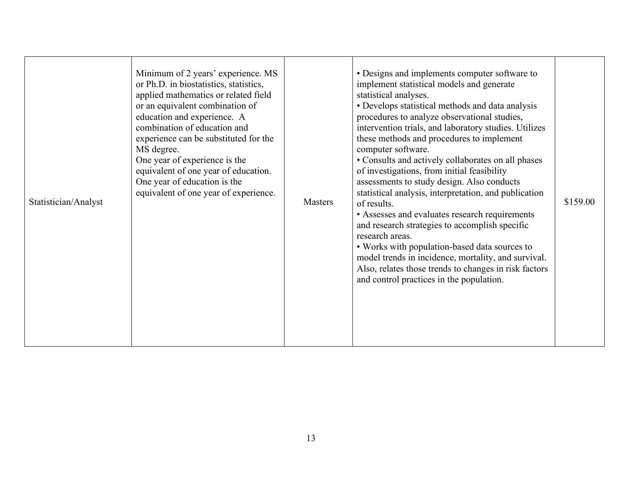| Statistician/Analyst | Minimum of 2 years' experience. MS<br>or Ph.D. in biostatistics, statistics,<br>applied mathematics or related field<br>or an equivalent combination of<br>education and experience. A<br>combination of education and<br>experience can be substituted for the<br>MS degree.<br>One year of experience is the<br>equivalent of one year of education.<br>One year of education is the<br>equivalent of one year of experience. | <b>Masters</b> | • Designs and implements computer software to<br>implement statistical models and generate<br>statistical analyses.<br>• Develops statistical methods and data analysis<br>procedures to analyze observational studies,<br>intervention trials, and laboratory studies. Utilizes<br>these methods and procedures to implement<br>computer software.<br>• Consults and actively collaborates on all phases<br>of investigations, from initial feasibility<br>assessments to study design. Also conducts<br>statistical analysis, interpretation, and publication<br>of results.<br>• Assesses and evaluates research requirements<br>and research strategies to accomplish specific<br>research areas.<br>• Works with population-based data sources to<br>model trends in incidence, mortality, and survival.<br>Also, relates those trends to changes in risk factors<br>and control practices in the population. | \$159.00 |
|----------------------|---------------------------------------------------------------------------------------------------------------------------------------------------------------------------------------------------------------------------------------------------------------------------------------------------------------------------------------------------------------------------------------------------------------------------------|----------------|--------------------------------------------------------------------------------------------------------------------------------------------------------------------------------------------------------------------------------------------------------------------------------------------------------------------------------------------------------------------------------------------------------------------------------------------------------------------------------------------------------------------------------------------------------------------------------------------------------------------------------------------------------------------------------------------------------------------------------------------------------------------------------------------------------------------------------------------------------------------------------------------------------------------|----------|
|----------------------|---------------------------------------------------------------------------------------------------------------------------------------------------------------------------------------------------------------------------------------------------------------------------------------------------------------------------------------------------------------------------------------------------------------------------------|----------------|--------------------------------------------------------------------------------------------------------------------------------------------------------------------------------------------------------------------------------------------------------------------------------------------------------------------------------------------------------------------------------------------------------------------------------------------------------------------------------------------------------------------------------------------------------------------------------------------------------------------------------------------------------------------------------------------------------------------------------------------------------------------------------------------------------------------------------------------------------------------------------------------------------------------|----------|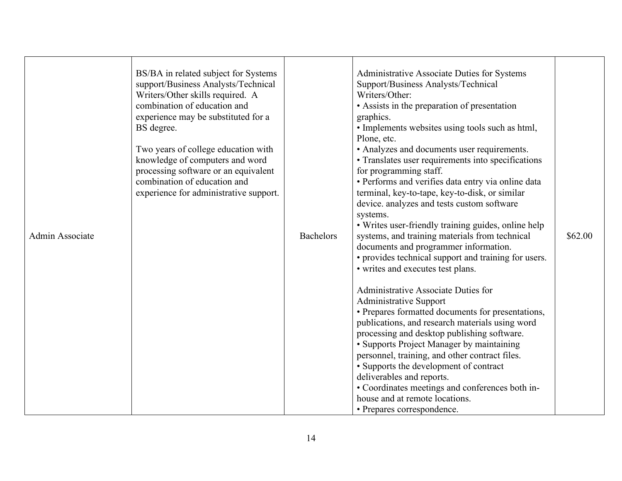| Admin Associate | BS/BA in related subject for Systems<br>support/Business Analysts/Technical<br>Writers/Other skills required. A<br>combination of education and<br>experience may be substituted for a<br>BS degree.<br>Two years of college education with<br>knowledge of computers and word<br>processing software or an equivalent<br>combination of education and<br>experience for administrative support. | <b>Bachelors</b> | Administrative Associate Duties for Systems<br>Support/Business Analysts/Technical<br>Writers/Other:<br>• Assists in the preparation of presentation<br>graphics.<br>• Implements websites using tools such as html,<br>Plone, etc.<br>• Analyzes and documents user requirements.<br>• Translates user requirements into specifications<br>for programming staff.<br>• Performs and verifies data entry via online data<br>terminal, key-to-tape, key-to-disk, or similar<br>device. analyzes and tests custom software<br>systems.<br>• Writes user-friendly training guides, online help<br>systems, and training materials from technical<br>documents and programmer information.<br>• provides technical support and training for users.<br>• writes and executes test plans.<br>Administrative Associate Duties for<br><b>Administrative Support</b><br>• Prepares formatted documents for presentations,<br>publications, and research materials using word<br>processing and desktop publishing software.<br>• Supports Project Manager by maintaining<br>personnel, training, and other contract files.<br>• Supports the development of contract<br>deliverables and reports.<br>• Coordinates meetings and conferences both in-<br>house and at remote locations.<br>• Prepares correspondence. | \$62.00 |
|-----------------|--------------------------------------------------------------------------------------------------------------------------------------------------------------------------------------------------------------------------------------------------------------------------------------------------------------------------------------------------------------------------------------------------|------------------|-------------------------------------------------------------------------------------------------------------------------------------------------------------------------------------------------------------------------------------------------------------------------------------------------------------------------------------------------------------------------------------------------------------------------------------------------------------------------------------------------------------------------------------------------------------------------------------------------------------------------------------------------------------------------------------------------------------------------------------------------------------------------------------------------------------------------------------------------------------------------------------------------------------------------------------------------------------------------------------------------------------------------------------------------------------------------------------------------------------------------------------------------------------------------------------------------------------------------------------------------------------------------------------------------------------|---------|
|-----------------|--------------------------------------------------------------------------------------------------------------------------------------------------------------------------------------------------------------------------------------------------------------------------------------------------------------------------------------------------------------------------------------------------|------------------|-------------------------------------------------------------------------------------------------------------------------------------------------------------------------------------------------------------------------------------------------------------------------------------------------------------------------------------------------------------------------------------------------------------------------------------------------------------------------------------------------------------------------------------------------------------------------------------------------------------------------------------------------------------------------------------------------------------------------------------------------------------------------------------------------------------------------------------------------------------------------------------------------------------------------------------------------------------------------------------------------------------------------------------------------------------------------------------------------------------------------------------------------------------------------------------------------------------------------------------------------------------------------------------------------------------|---------|